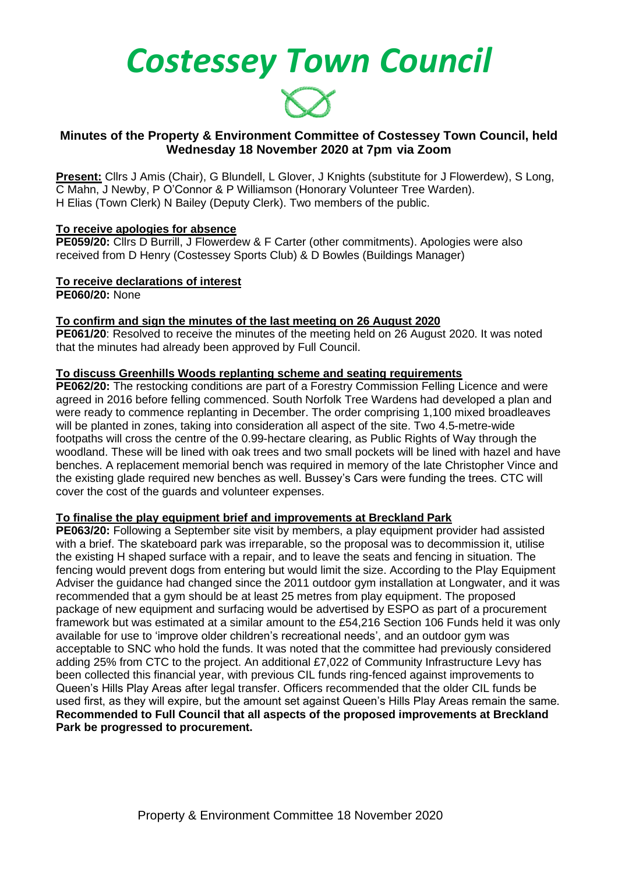*Costessey Town Council*



# **Minutes of the Property & Environment Committee of Costessey Town Council, held Wednesday 18 November 2020 at 7pm via Zoom**

**Present:** Cllrs J Amis (Chair), G Blundell, L Glover, J Knights (substitute for J Flowerdew), S Long, C Mahn, J Newby, P O'Connor & P Williamson (Honorary Volunteer Tree Warden). H Elias (Town Clerk) N Bailey (Deputy Clerk). Two members of the public.

## **To receive apologies for absence**

**PE059/20:** Cllrs D Burrill, J Flowerdew & F Carter (other commitments). Apologies were also received from D Henry (Costessey Sports Club) & D Bowles (Buildings Manager)

# **To receive declarations of interest**

**PE060/20:** None

## **To confirm and sign the minutes of the last meeting on 26 August 2020**

**PE061/20**: Resolved to receive the minutes of the meeting held on 26 August 2020. It was noted that the minutes had already been approved by Full Council.

## **To discuss Greenhills Woods replanting scheme and seating requirements**

**PE062/20:** The restocking conditions are part of a Forestry Commission Felling Licence and were agreed in 2016 before felling commenced. South Norfolk Tree Wardens had developed a plan and were ready to commence replanting in December. The order comprising 1,100 mixed broadleaves will be planted in zones, taking into consideration all aspect of the site. Two 4.5-metre-wide footpaths will cross the centre of the 0.99-hectare clearing, as Public Rights of Way through the woodland. These will be lined with oak trees and two small pockets will be lined with hazel and have benches. A replacement memorial bench was required in memory of the late Christopher Vince and the existing glade required new benches as well. Bussey's Cars were funding the trees. CTC will cover the cost of the guards and volunteer expenses.

## **To finalise the play equipment brief and improvements at Breckland Park**

**PE063/20:** Following a September site visit by members, a play equipment provider had assisted with a brief. The skateboard park was irreparable, so the proposal was to decommission it, utilise the existing H shaped surface with a repair, and to leave the seats and fencing in situation. The fencing would prevent dogs from entering but would limit the size. According to the Play Equipment Adviser the guidance had changed since the 2011 outdoor gym installation at Longwater, and it was recommended that a gym should be at least 25 metres from play equipment. The proposed package of new equipment and surfacing would be advertised by ESPO as part of a procurement framework but was estimated at a similar amount to the £54,216 Section 106 Funds held it was only available for use to 'improve older children's recreational needs', and an outdoor gym was acceptable to SNC who hold the funds. It was noted that the committee had previously considered adding 25% from CTC to the project. An additional £7,022 of Community Infrastructure Levy has been collected this financial year, with previous CIL funds ring-fenced against improvements to Queen's Hills Play Areas after legal transfer. Officers recommended that the older CIL funds be used first, as they will expire, but the amount set against Queen's Hills Play Areas remain the same. **Recommended to Full Council that all aspects of the proposed improvements at Breckland Park be progressed to procurement.**